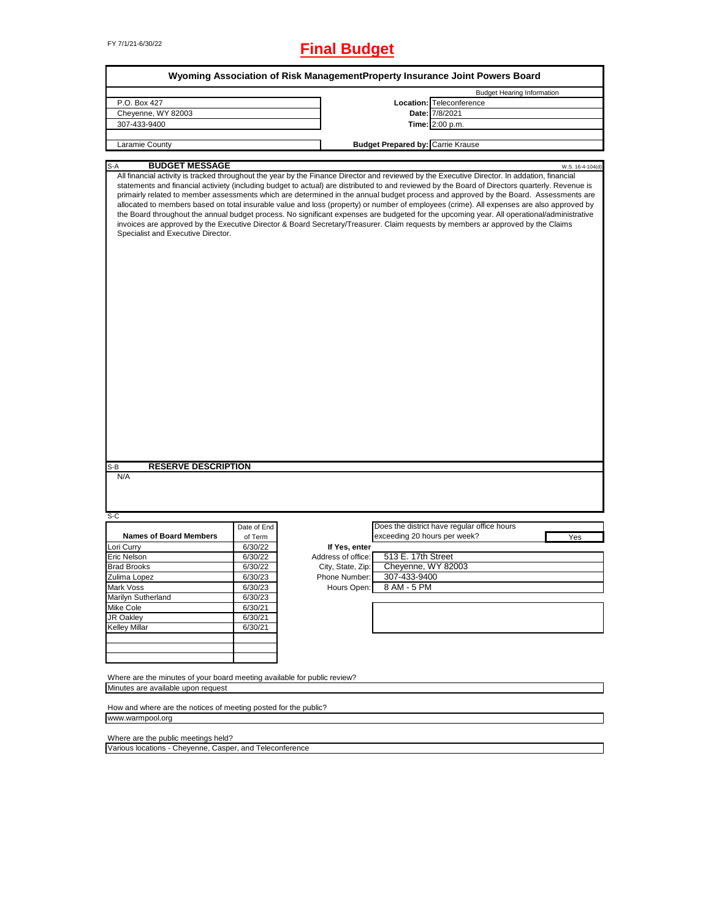# FY 7/1/21-6/30/22 **Final Budget**

|                                                                                                                                                                                                                                                                                                                                                                                                                                                                                                                                                                                                                                                                                                                                                                                                                                                                                                              |                    |                                     |                                          | Wyoming Association of Risk ManagementProperty Insurance Joint Powers Board |                  |
|--------------------------------------------------------------------------------------------------------------------------------------------------------------------------------------------------------------------------------------------------------------------------------------------------------------------------------------------------------------------------------------------------------------------------------------------------------------------------------------------------------------------------------------------------------------------------------------------------------------------------------------------------------------------------------------------------------------------------------------------------------------------------------------------------------------------------------------------------------------------------------------------------------------|--------------------|-------------------------------------|------------------------------------------|-----------------------------------------------------------------------------|------------------|
|                                                                                                                                                                                                                                                                                                                                                                                                                                                                                                                                                                                                                                                                                                                                                                                                                                                                                                              |                    |                                     |                                          | <b>Budget Hearing Information</b>                                           |                  |
| P.O. Box 427                                                                                                                                                                                                                                                                                                                                                                                                                                                                                                                                                                                                                                                                                                                                                                                                                                                                                                 |                    |                                     |                                          | Location: Teleconference                                                    |                  |
| Cheyenne, WY 82003                                                                                                                                                                                                                                                                                                                                                                                                                                                                                                                                                                                                                                                                                                                                                                                                                                                                                           |                    |                                     |                                          | Date: 7/8/2021                                                              |                  |
| 307-433-9400                                                                                                                                                                                                                                                                                                                                                                                                                                                                                                                                                                                                                                                                                                                                                                                                                                                                                                 |                    |                                     |                                          | Time: 2:00 p.m.                                                             |                  |
| Laramie County                                                                                                                                                                                                                                                                                                                                                                                                                                                                                                                                                                                                                                                                                                                                                                                                                                                                                               |                    |                                     | <b>Budget Prepared by: Carrie Krause</b> |                                                                             |                  |
|                                                                                                                                                                                                                                                                                                                                                                                                                                                                                                                                                                                                                                                                                                                                                                                                                                                                                                              |                    |                                     |                                          |                                                                             |                  |
| <b>BUDGET MESSAGE</b><br>S-A                                                                                                                                                                                                                                                                                                                                                                                                                                                                                                                                                                                                                                                                                                                                                                                                                                                                                 |                    |                                     |                                          |                                                                             | W.S. 16-4-104(d) |
| All financial activity is tracked throughout the year by the Finance Director and reviewed by the Executive Director. In addation, financial<br>statements and financial activiety (including budget to actual) are distributed to and reviewed by the Board of Directors quarterly. Revenue is<br>primairly related to member assessments which are determined in the annual budget process and approved by the Board. Assessments are<br>allocated to members based on total insurable value and loss (property) or number of employees (crime). All expenses are also approved by<br>the Board throughout the annual budget process. No significant expenses are budgeted for the upcoming year. All operational/administrative<br>invoices are approved by the Executive Director & Board Secretary/Treasurer. Claim requests by members ar approved by the Claims<br>Specialist and Executive Director. |                    |                                     |                                          |                                                                             |                  |
| <b>RESERVE DESCRIPTION</b>                                                                                                                                                                                                                                                                                                                                                                                                                                                                                                                                                                                                                                                                                                                                                                                                                                                                                   |                    |                                     |                                          |                                                                             |                  |
| S-B<br>N/A<br>$S-C$                                                                                                                                                                                                                                                                                                                                                                                                                                                                                                                                                                                                                                                                                                                                                                                                                                                                                          |                    |                                     |                                          |                                                                             |                  |
| <b>Names of Board Members</b>                                                                                                                                                                                                                                                                                                                                                                                                                                                                                                                                                                                                                                                                                                                                                                                                                                                                                | Date of End        |                                     |                                          | Does the district have regular office hours                                 |                  |
|                                                                                                                                                                                                                                                                                                                                                                                                                                                                                                                                                                                                                                                                                                                                                                                                                                                                                                              | of Term            |                                     | exceeding 20 hours per week?             |                                                                             | Yes              |
| Lori Curry                                                                                                                                                                                                                                                                                                                                                                                                                                                                                                                                                                                                                                                                                                                                                                                                                                                                                                   | 6/30/22            | If Yes, enter<br>Address of office: | 513 E. 17th Street                       |                                                                             |                  |
| Eric Nelson<br><b>Brad Brooks</b>                                                                                                                                                                                                                                                                                                                                                                                                                                                                                                                                                                                                                                                                                                                                                                                                                                                                            | 6/30/22<br>6/30/22 | City, State, Zip:                   | Cheyenne, WY 82003                       |                                                                             |                  |
| Zulima Lopez                                                                                                                                                                                                                                                                                                                                                                                                                                                                                                                                                                                                                                                                                                                                                                                                                                                                                                 | 6/30/23            | Phone Number:                       | 307-433-9400                             |                                                                             |                  |
| Mark Voss                                                                                                                                                                                                                                                                                                                                                                                                                                                                                                                                                                                                                                                                                                                                                                                                                                                                                                    | 6/30/23            | Hours Open:                         | 8 AM - 5 PM                              |                                                                             |                  |
| Marilyn Sutherland                                                                                                                                                                                                                                                                                                                                                                                                                                                                                                                                                                                                                                                                                                                                                                                                                                                                                           | 6/30/23            |                                     |                                          |                                                                             |                  |
| <b>Mike Cole</b>                                                                                                                                                                                                                                                                                                                                                                                                                                                                                                                                                                                                                                                                                                                                                                                                                                                                                             | 6/30/21            |                                     |                                          |                                                                             |                  |
| JR Oakley                                                                                                                                                                                                                                                                                                                                                                                                                                                                                                                                                                                                                                                                                                                                                                                                                                                                                                    | 6/30/21            |                                     |                                          |                                                                             |                  |
| <b>Kelley Millar</b>                                                                                                                                                                                                                                                                                                                                                                                                                                                                                                                                                                                                                                                                                                                                                                                                                                                                                         | 6/30/21            |                                     |                                          |                                                                             |                  |
|                                                                                                                                                                                                                                                                                                                                                                                                                                                                                                                                                                                                                                                                                                                                                                                                                                                                                                              |                    |                                     |                                          |                                                                             |                  |
|                                                                                                                                                                                                                                                                                                                                                                                                                                                                                                                                                                                                                                                                                                                                                                                                                                                                                                              |                    |                                     |                                          |                                                                             |                  |
|                                                                                                                                                                                                                                                                                                                                                                                                                                                                                                                                                                                                                                                                                                                                                                                                                                                                                                              |                    |                                     |                                          |                                                                             |                  |
| Where are the minutes of your board meeting available for public review?                                                                                                                                                                                                                                                                                                                                                                                                                                                                                                                                                                                                                                                                                                                                                                                                                                     |                    |                                     |                                          |                                                                             |                  |
| Minutes are available upon request                                                                                                                                                                                                                                                                                                                                                                                                                                                                                                                                                                                                                                                                                                                                                                                                                                                                           |                    |                                     |                                          |                                                                             |                  |
| How and where are the notices of meeting posted for the public?                                                                                                                                                                                                                                                                                                                                                                                                                                                                                                                                                                                                                                                                                                                                                                                                                                              |                    |                                     |                                          |                                                                             |                  |
| www.warmpool.org                                                                                                                                                                                                                                                                                                                                                                                                                                                                                                                                                                                                                                                                                                                                                                                                                                                                                             |                    |                                     |                                          |                                                                             |                  |

Where are the public meetings held?

Various locations - Cheyenne, Casper, and Teleconference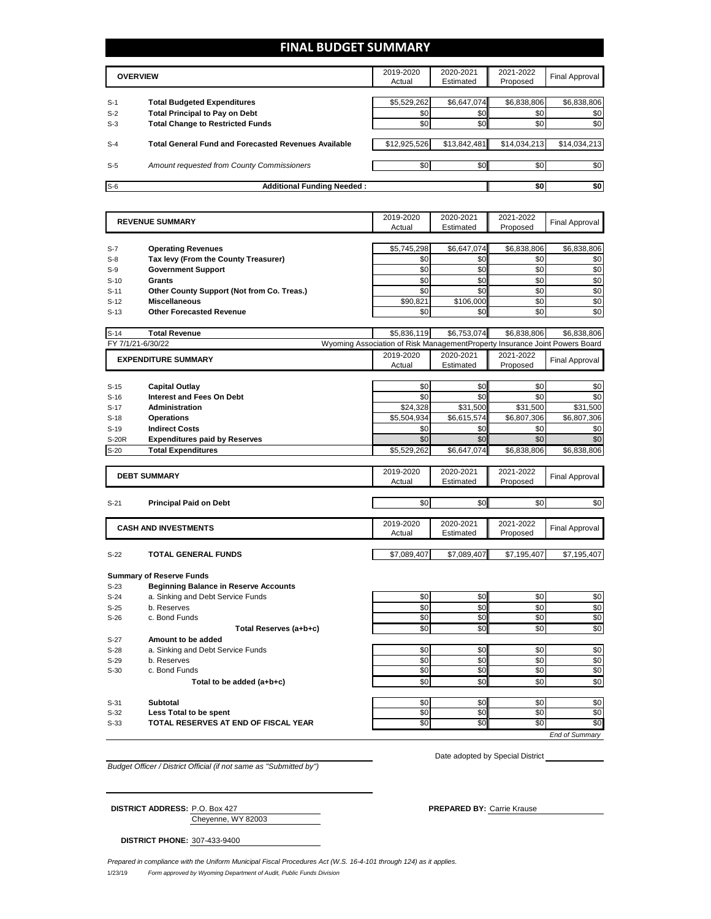### **FINAL BUDGET SUMMARY**

|       | <b>OVERVIEW</b>                                             | 2019-2020<br>Actual | 2020-2021<br>Estimated | 2021-2022<br>Proposed | Final Approval |
|-------|-------------------------------------------------------------|---------------------|------------------------|-----------------------|----------------|
|       |                                                             |                     |                        |                       |                |
| $S-1$ | <b>Total Budgeted Expenditures</b>                          | \$5,529,262         | \$6,647,074            | \$6,838,806           | \$6,838,806    |
| $S-2$ | <b>Total Principal to Pay on Debt</b>                       | \$0                 | \$0                    | \$0                   | \$0            |
| $S-3$ | <b>Total Change to Restricted Funds</b>                     | \$0                 | \$0                    | \$0                   | \$0            |
|       |                                                             |                     |                        |                       |                |
| $S-4$ | <b>Total General Fund and Forecasted Revenues Available</b> | \$12,925,526        | \$13,842,481           | \$14,034,213          | \$14,034,213   |
|       |                                                             |                     |                        |                       |                |
| $S-5$ | Amount requested from County Commissioners                  | \$0                 | \$0                    | \$0                   | \$0            |
|       |                                                             |                     |                        |                       |                |
| $S-6$ | <b>Additional Funding Needed:</b>                           |                     |                        | \$0                   | \$0            |

|                  | <b>REVENUE SUMMARY</b>                           |                                                                             | 2020-2021       | 2021-2022             | <b>Final Approval</b> |
|------------------|--------------------------------------------------|-----------------------------------------------------------------------------|-----------------|-----------------------|-----------------------|
|                  |                                                  | Actual                                                                      | Estimated       | Proposed              |                       |
|                  |                                                  |                                                                             |                 |                       |                       |
| $S-7$            | <b>Operating Revenues</b>                        | \$5,745,298                                                                 | \$6,647,074     | \$6,838,806           | \$6,838,806           |
| $S-8$            | Tax levy (From the County Treasurer)             | \$0                                                                         | \$0             | \$0                   | \$0                   |
| $S-9$            | <b>Government Support</b>                        | \$0                                                                         | \$0             | \$0                   | \$0                   |
| $S-10$           | <b>Grants</b>                                    | \$0                                                                         | \$0             | \$0                   | \$0                   |
| $S-11$           | Other County Support (Not from Co. Treas.)       | \$0                                                                         | \$0             | \$0                   | \$0                   |
| $S-12$           | <b>Miscellaneous</b>                             | \$90.821                                                                    | \$106.000       | \$0                   | \$0                   |
| $S-13$           | <b>Other Forecasted Revenue</b>                  | \$0                                                                         | \$0             | \$0                   | \$0                   |
|                  |                                                  |                                                                             |                 |                       |                       |
| $S-14$           | <b>Total Revenue</b>                             | \$5,836,119                                                                 | \$6,753,074     | \$6,838,806           | \$6.838.806           |
|                  | FY 7/1/21-6/30/22                                | Wyoming Association of Risk ManagementProperty Insurance Joint Powers Board |                 |                       |                       |
|                  | <b>EXPENDITURE SUMMARY</b>                       | 2019-2020                                                                   | 2020-2021       | 2021-2022             | <b>Final Approval</b> |
|                  |                                                  | Actual                                                                      | Estimated       | Proposed              |                       |
|                  |                                                  |                                                                             |                 |                       |                       |
| $S-15$           | <b>Capital Outlay</b>                            | \$0                                                                         | \$0             | \$0                   | \$0                   |
| $S-16$           | <b>Interest and Fees On Debt</b>                 | \$0                                                                         | \$0             | \$0                   | \$0                   |
| $S-17$           | Administration                                   | \$24,328                                                                    | \$31,500        | \$31,500              | \$31,500              |
| $S-18$           | <b>Operations</b>                                | \$5,504,934                                                                 | \$6,615,574     | \$6,807,306           | \$6,807,306           |
| $S-19$           | <b>Indirect Costs</b>                            | \$0                                                                         | \$0             | \$0                   | \$0                   |
| S-20R            | <b>Expenditures paid by Reserves</b>             | \$0                                                                         | \$0             | \$0                   | \$0                   |
| $S-20$           | <b>Total Expenditures</b>                        | \$5,529,262                                                                 | \$6,647,074     | \$6,838,806           | \$6,838,806           |
|                  |                                                  |                                                                             |                 |                       |                       |
|                  | <b>DEBT SUMMARY</b>                              | 2019-2020                                                                   | 2020-2021       | 2021-2022             | <b>Final Approval</b> |
|                  |                                                  | Actual                                                                      | Estimated       | Proposed              |                       |
|                  |                                                  |                                                                             |                 |                       |                       |
| $S-21$           | <b>Principal Paid on Debt</b>                    | \$0                                                                         | \$0             | \$0                   | \$0                   |
|                  |                                                  | 2019-2020                                                                   | 2020-2021       |                       |                       |
|                  | <b>CASH AND INVESTMENTS</b>                      | Actual                                                                      | Estimated       | 2021-2022<br>Proposed | <b>Final Approval</b> |
|                  |                                                  |                                                                             |                 |                       |                       |
| $S-22$           | <b>TOTAL GENERAL FUNDS</b>                       | \$7,089,407                                                                 | \$7,089,407     | \$7,195,407           | \$7,195,407           |
|                  |                                                  |                                                                             |                 |                       |                       |
|                  | <b>Summary of Reserve Funds</b>                  |                                                                             |                 |                       |                       |
| $S-23$           | <b>Beginning Balance in Reserve Accounts</b>     |                                                                             |                 |                       |                       |
| $S-24$           | a. Sinking and Debt Service Funds                | \$0                                                                         | \$0             | \$0                   | \$0                   |
| $S-25$           | b. Reserves                                      | \$0                                                                         | \$0             | \$0                   | $\overline{30}$       |
| $S-26$           | c. Bond Funds                                    | \$0                                                                         | \$0             | \$0                   | \$0                   |
|                  | Total Reserves (a+b+c)                           | \$0                                                                         | \$0             | \$0                   | \$0                   |
| $S-27$           | Amount to be added                               |                                                                             |                 |                       |                       |
|                  |                                                  | \$0                                                                         | \$0             | \$0                   | \$0                   |
| $S-28$<br>$S-29$ | a. Sinking and Debt Service Funds<br>b. Reserves | \$0                                                                         | \$0             | \$0                   | \$0                   |
| $S-30$           | c. Bond Funds                                    | \$0                                                                         | \$0             | \$0                   | \$0                   |
|                  |                                                  | \$0                                                                         | \$0             | \$0                   | \$0                   |
|                  | Total to be added (a+b+c)                        |                                                                             |                 |                       |                       |
| $S-31$           | <b>Subtotal</b>                                  | \$0                                                                         | \$0             | \$0                   | \$0                   |
| $S-32$           | <b>Less Total to be spent</b>                    | \$0                                                                         | \$0             | \$0                   | \$0                   |
| $S-33$           | TOTAL RESERVES AT END OF FISCAL YEAR             | \$0                                                                         | $\overline{50}$ | \$0                   | \$0                   |
|                  |                                                  |                                                                             |                 |                       | <b>End of Summary</b> |
|                  |                                                  |                                                                             |                 |                       |                       |

*Budget Officer / District Official (if not same as "Submitted by")*

Date adopted by Special District \_\_

| <b>DISTRICT ADDRESS: P.O. Box 427</b> |                    | <b>PREPARED BY: Carrie Krause</b> |  |
|---------------------------------------|--------------------|-----------------------------------|--|
|                                       | Chevenne, WY 82003 |                                   |  |

**DISTRICT PHONE:** 307-433-9400

1/23/19 *Form approved by Wyoming Department of Audit, Public Funds Division Prepared in compliance with the Uniform Municipal Fiscal Procedures Act (W.S. 16-4-101 through 124) as it applies.*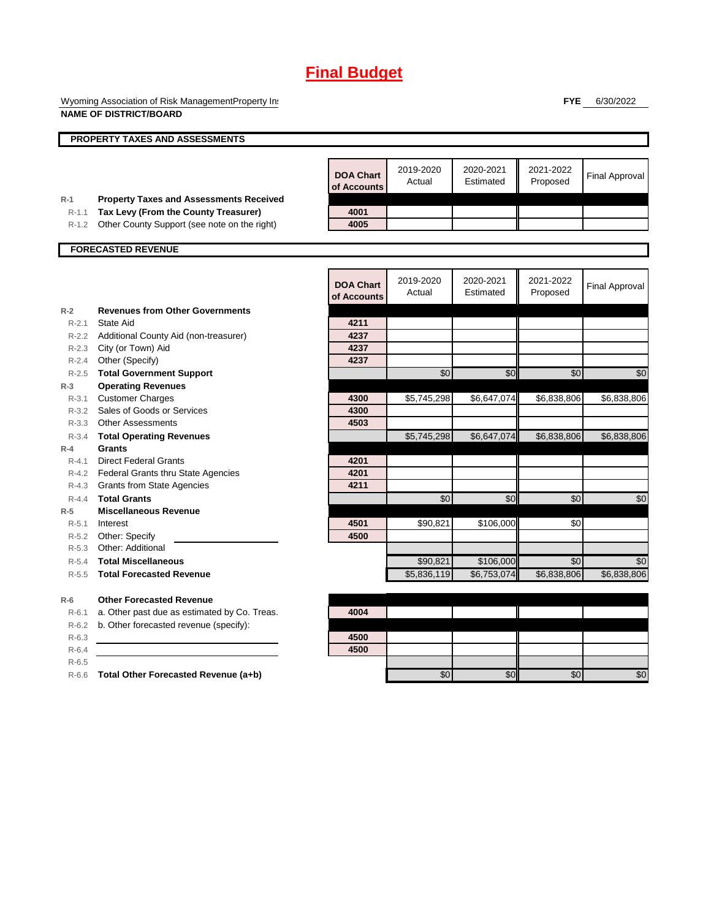Wyoming Association of Risk ManagementProperty Ins **NAME OF DISTRICT/BOARD**

**FYE** 6/30/2022

|           | <b>NAME OF DISTRIGHBOARD</b>                   |                                 |                         |                          |                       |                       |
|-----------|------------------------------------------------|---------------------------------|-------------------------|--------------------------|-----------------------|-----------------------|
|           | PROPERTY TAXES AND ASSESSMENTS                 |                                 |                         |                          |                       |                       |
|           |                                                |                                 |                         |                          |                       |                       |
|           |                                                | <b>DOA Chart</b><br>of Accounts | 2019-2020<br>Actual     | 2020-2021<br>Estimated   | 2021-2022<br>Proposed | <b>Final Approval</b> |
| $R-1$     | <b>Property Taxes and Assessments Received</b> |                                 |                         |                          |                       |                       |
| $R-1.1$   | Tax Levy (From the County Treasurer)           | 4001                            |                         |                          |                       |                       |
| R-1.2     | Other County Support (see note on the right)   | 4005                            |                         |                          |                       |                       |
|           | <b>FORECASTED REVENUE</b>                      |                                 |                         |                          |                       |                       |
|           |                                                |                                 |                         |                          |                       |                       |
|           |                                                | <b>DOA Chart</b><br>of Accounts | 2019-2020<br>Actual     | 2020-2021<br>Estimated   | 2021-2022<br>Proposed | <b>Final Approval</b> |
| $R-2$     | <b>Revenues from Other Governments</b>         |                                 |                         |                          |                       |                       |
| $R - 2.1$ | State Aid                                      | 4211                            |                         |                          |                       |                       |
|           | R-2.2 Additional County Aid (non-treasurer)    | 4237                            |                         |                          |                       |                       |
|           | R-2.3 City (or Town) Aid                       | 4237                            |                         |                          |                       |                       |
|           | R-2.4 Other (Specify)                          | 4237                            |                         |                          |                       |                       |
| $R - 2.5$ | <b>Total Government Support</b>                |                                 | \$0                     | \$0                      | $\sqrt{6}$            | \$0                   |
| $R-3$     | <b>Operating Revenues</b>                      |                                 |                         |                          |                       |                       |
| $R - 3.1$ | <b>Customer Charges</b>                        | 4300                            | \$5,745,298             | \$6,647,074              | \$6,838,806           | \$6,838,806           |
|           | R-3.2 Sales of Goods or Services               | 4300                            |                         |                          |                       |                       |
|           | R-3.3 Other Assessments                        | 4503                            |                         |                          |                       |                       |
| $R - 3.4$ | <b>Total Operating Revenues</b>                |                                 | \$5,745,298             | \$6,647,074              | \$6,838,806           | \$6,838,806           |
| $R-4$     | Grants                                         |                                 |                         |                          |                       |                       |
| $R - 4.1$ | <b>Direct Federal Grants</b>                   | 4201                            |                         |                          |                       |                       |
|           | R-4.2 Federal Grants thru State Agencies       | 4201                            |                         |                          |                       |                       |
|           | R-4.3 Grants from State Agencies               | 4211                            |                         |                          |                       |                       |
| $R - 4.4$ | <b>Total Grants</b>                            |                                 | \$0                     | \$0                      | \$0                   | \$0                   |
| $R-5$     | <b>Miscellaneous Revenue</b>                   |                                 |                         |                          |                       |                       |
| $R-5.1$   | Interest                                       | 4501<br>4500                    | \$90,821                | \$106,000                | \$0                   |                       |
| R-5.3     | R-5.2 Other: Specify<br>Other: Additional      |                                 |                         |                          |                       |                       |
| $R - 5.4$ | <b>Total Miscellaneous</b>                     |                                 |                         |                          | \$0                   | \$0                   |
|           | <b>Total Forecasted Revenue</b>                |                                 | \$90,821<br>\$5,836,119 | \$106,000<br>\$6,753,074 | \$6,838,806           | \$6,838,806           |
| $R-5.5$   |                                                |                                 |                         |                          |                       |                       |
| $R-6$     | <b>Other Forecasted Revenue</b>                |                                 |                         |                          |                       |                       |
| $R-6.1$   | a. Other past due as estimated by Co. Treas.   | 4004                            |                         |                          |                       |                       |
| $R-6.2$   | b. Other forecasted revenue (specify):         |                                 |                         |                          |                       |                       |
| $R-6.3$   |                                                | 4500                            |                         |                          |                       |                       |
| $R-6.4$   |                                                | 4500                            |                         |                          |                       |                       |
| $R-6.5$   |                                                |                                 |                         |                          |                       |                       |
| $R-6.6$   | Total Other Forecasted Revenue (a+b)           |                                 | \$0                     | \$0                      | \$0                   | \$0                   |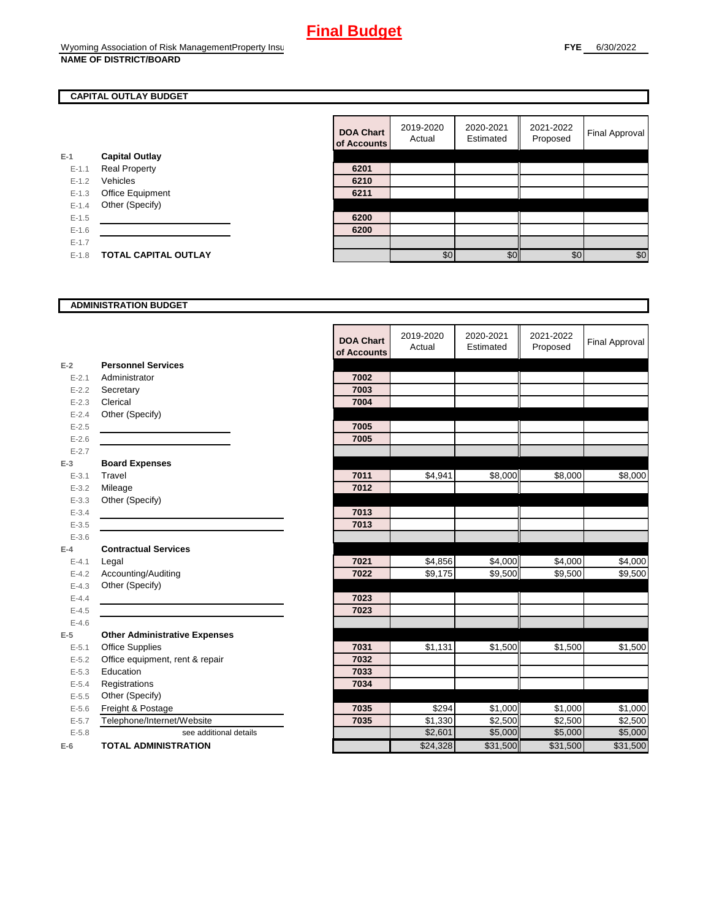### **CAPITAL OUTLAY BUDGET**

|           |                             | vi nuuv |
|-----------|-----------------------------|---------|
| $E-1$     | <b>Capital Outlay</b>       |         |
| $E - 1.1$ | <b>Real Property</b>        | 6201    |
| $E - 1.2$ | Vehicles                    | 6210    |
| $E-1.3$   | <b>Office Equipment</b>     | 6211    |
| $E - 1.4$ | Other (Specify)             |         |
| $E - 1.5$ |                             | 6200    |
| $E-1.6$   |                             | 6200    |
| $E - 1.7$ |                             |         |
| $E - 1.8$ | <b>TOTAL CAPITAL OUTLAY</b> |         |
|           |                             |         |

| <b>DOA Chart</b><br>of Accounts | 2019-2020<br>Actual | 2020-2021<br>Estimated | 2021-2022<br>Proposed | Final Approval |
|---------------------------------|---------------------|------------------------|-----------------------|----------------|
|                                 |                     |                        |                       |                |
| 6201                            |                     |                        |                       |                |
| 6210                            |                     |                        |                       |                |
| 6211                            |                     |                        |                       |                |
|                                 |                     |                        |                       |                |
| 6200                            |                     |                        |                       |                |
| 6200                            |                     |                        |                       |                |
|                                 |                     |                        |                       |                |
|                                 | \$0                 | ¢٢                     | \$C                   | \$0            |

#### **ADMINISTRATION BUDGET**

|           |                                      | <b>DOA Chart</b><br>of Accounts | 2019-2020<br>Actual | 2020-2021<br>Estimated | 2021-2022<br>Proposed | <b>Final Approval</b> |
|-----------|--------------------------------------|---------------------------------|---------------------|------------------------|-----------------------|-----------------------|
| $E-2$     | <b>Personnel Services</b>            |                                 |                     |                        |                       |                       |
| $E - 2.1$ | Administrator                        | 7002                            |                     |                        |                       |                       |
| $E - 2.2$ | Secretary                            | 7003                            |                     |                        |                       |                       |
| $E - 2.3$ | Clerical                             | 7004                            |                     |                        |                       |                       |
| $E - 2.4$ | Other (Specify)                      |                                 |                     |                        |                       |                       |
| $E - 2.5$ |                                      | 7005                            |                     |                        |                       |                       |
| $E - 2.6$ |                                      | 7005                            |                     |                        |                       |                       |
| $E - 2.7$ |                                      |                                 |                     |                        |                       |                       |
| $E-3$     | <b>Board Expenses</b>                |                                 |                     |                        |                       |                       |
| $E - 3.1$ | Travel                               | 7011                            | \$4,941             | \$8,000                | \$8,000               | \$8,000               |
| $E - 3.2$ | Mileage                              | 7012                            |                     |                        |                       |                       |
| $E - 3.3$ | Other (Specify)                      |                                 |                     |                        |                       |                       |
| $E - 3.4$ |                                      | 7013                            |                     |                        |                       |                       |
| $E - 3.5$ |                                      | 7013                            |                     |                        |                       |                       |
| $E - 3.6$ |                                      |                                 |                     |                        |                       |                       |
| $E-4$     | <b>Contractual Services</b>          |                                 |                     |                        |                       |                       |
| $E - 4.1$ | Legal                                | 7021                            | \$4,856             | \$4,000                | \$4,000               | \$4,000               |
| $E - 4.2$ | Accounting/Auditing                  | 7022                            | \$9,175             | \$9,500                | \$9,500               | \$9,500               |
| $E - 4.3$ | Other (Specify)                      |                                 |                     |                        |                       |                       |
| $E - 4.4$ |                                      | 7023                            |                     |                        |                       |                       |
| $E-4.5$   |                                      | 7023                            |                     |                        |                       |                       |
| $E-4.6$   |                                      |                                 |                     |                        |                       |                       |
| $E-5$     | <b>Other Administrative Expenses</b> |                                 |                     |                        |                       |                       |
| $E - 5.1$ | <b>Office Supplies</b>               | 7031                            | \$1,131             | \$1,500                | \$1,500               | \$1,500               |
| $E - 5.2$ | Office equipment, rent & repair      | 7032                            |                     |                        |                       |                       |
| $E - 5.3$ | Education                            | 7033                            |                     |                        |                       |                       |
| $E - 5.4$ | Registrations                        | 7034                            |                     |                        |                       |                       |
| $E - 5.5$ | Other (Specify)                      |                                 |                     |                        |                       |                       |
| $E-5.6$   | Freight & Postage                    | 7035                            | \$294               | \$1,000                | \$1,000               | \$1,000               |
| $E - 5.7$ | Telephone/Internet/Website           | 7035                            | \$1,330             | \$2,500                | \$2,500               | \$2,500               |
| $E - 5.8$ | see additional details               |                                 | \$2,601             | \$5,000                | \$5,000               | \$5,000               |
| $E-6$     | <b>TOTAL ADMINISTRATION</b>          |                                 | \$24,328            | \$31,500               | \$31,500              | \$31,500              |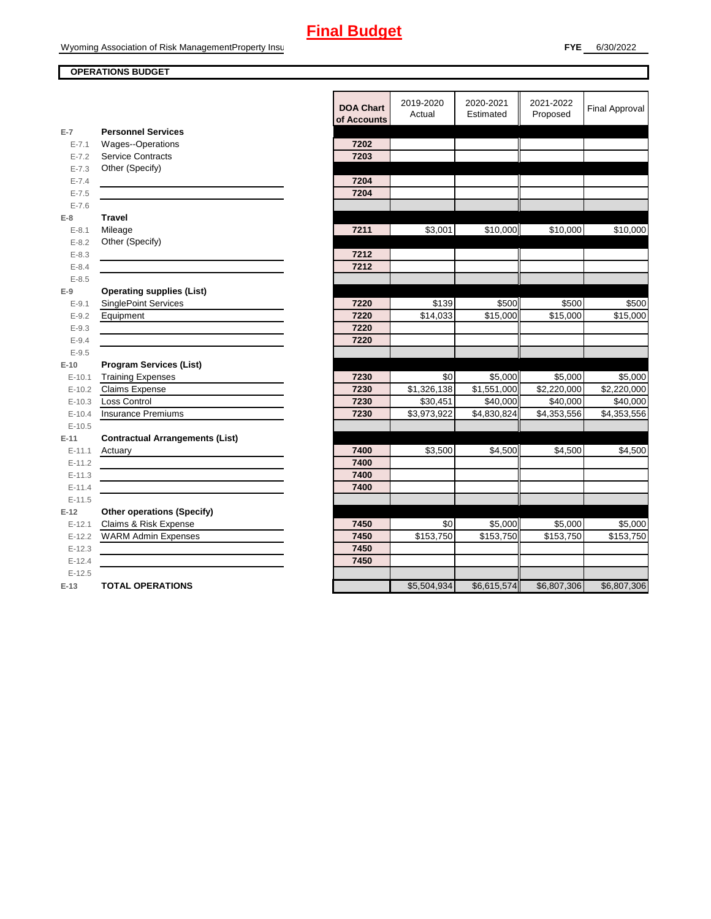#### **OPERATIONS BUDGET**

|                      |                                                     | <b>DOA Chart</b><br>of Accounts | 2019-2020<br>Actual | 2020-2021<br>Estimated | 2021-2022<br>Proposed | <b>Final Approval</b> |
|----------------------|-----------------------------------------------------|---------------------------------|---------------------|------------------------|-----------------------|-----------------------|
| $E-7$                | <b>Personnel Services</b>                           |                                 |                     |                        |                       |                       |
| $E - 7.1$            | Wages--Operations                                   | 7202                            |                     |                        |                       |                       |
| $E - 7.2$            | <b>Service Contracts</b>                            | 7203                            |                     |                        |                       |                       |
| $E - 7.3$            | Other (Specify)                                     |                                 |                     |                        |                       |                       |
| $E - 7.4$            |                                                     | 7204                            |                     |                        |                       |                       |
| $E - 7.5$            |                                                     | 7204                            |                     |                        |                       |                       |
| $E - 7.6$            |                                                     |                                 |                     |                        |                       |                       |
| $E-8$                | <b>Travel</b>                                       |                                 |                     |                        |                       |                       |
| $E - 8.1$            | Mileage                                             | 7211                            | \$3,001             | \$10,000               | \$10,000              | \$10,000              |
| $E - 8.2$            | Other (Specify)                                     |                                 |                     |                        |                       |                       |
| $E - 8.3$            |                                                     | 7212                            |                     |                        |                       |                       |
| $E - 8.4$            |                                                     | 7212                            |                     |                        |                       |                       |
| $E - 8.5$            |                                                     |                                 |                     |                        |                       |                       |
| $E-9$                | <b>Operating supplies (List)</b>                    |                                 |                     |                        |                       |                       |
| $E-9.1$              | <b>SinglePoint Services</b>                         | 7220                            | \$139               | \$500                  | \$500                 | \$500                 |
| $E-9.2$              | Equipment                                           | 7220                            | \$14,033            | \$15,000               | $\overline{$}15,000$  | \$15,000              |
| $E - 9.3$            |                                                     | 7220                            |                     |                        |                       |                       |
| $E - 9.4$            |                                                     | 7220                            |                     |                        |                       |                       |
| $E-9.5$              |                                                     |                                 |                     |                        |                       |                       |
| $E-10$               | <b>Program Services (List)</b>                      |                                 |                     |                        |                       |                       |
| $E-10.1$             | <b>Training Expenses</b>                            | 7230                            | \$0                 | \$5,000                | \$5,000               | \$5,000               |
| $E-10.2$             | <b>Claims Expense</b>                               | 7230                            | \$1,326,138         | \$1,551,000            | \$2,220,000           | \$2,220,000           |
| $E-10.3$             | <b>Loss Control</b>                                 | 7230                            | \$30,451            | \$40,000               | \$40,000              | \$40,000              |
| $E-10.4$             | <b>Insurance Premiums</b>                           | 7230                            | \$3,973,922         | \$4,830,824            | \$4,353,556           | \$4,353,556           |
| $E-10.5$             |                                                     |                                 |                     |                        |                       |                       |
| $E-11$               | <b>Contractual Arrangements (List)</b>              |                                 |                     |                        |                       |                       |
| $E-11.1$             | Actuary                                             | 7400<br>7400                    | \$3,500             | \$4,500                | \$4,500               | \$4,500               |
| $E-11.2$             |                                                     | 7400                            |                     |                        |                       |                       |
| $E-11.3$             |                                                     | 7400                            |                     |                        |                       |                       |
| $E-11.4$<br>$E-11.5$ |                                                     |                                 |                     |                        |                       |                       |
|                      |                                                     |                                 |                     |                        |                       |                       |
| $E-12$               | <b>Other operations (Specify)</b>                   |                                 | \$0                 |                        | \$5,000               |                       |
| $E-12.1$<br>$E-12.2$ | Claims & Risk Expense<br><b>WARM Admin Expenses</b> | 7450<br>7450                    | \$153,750           | \$5,000<br>\$153,750   | \$153,750             | \$5,000<br>\$153,750  |
| $E-12.3$             |                                                     | 7450                            |                     |                        |                       |                       |
| $E-12.4$             |                                                     | 7450                            |                     |                        |                       |                       |
| $E-12.5$             |                                                     |                                 |                     |                        |                       |                       |
| $E-13$               | <b>TOTAL OPERATIONS</b>                             |                                 | \$5,504,934         | \$6,615,574            | \$6,807,306           | \$6,807,306           |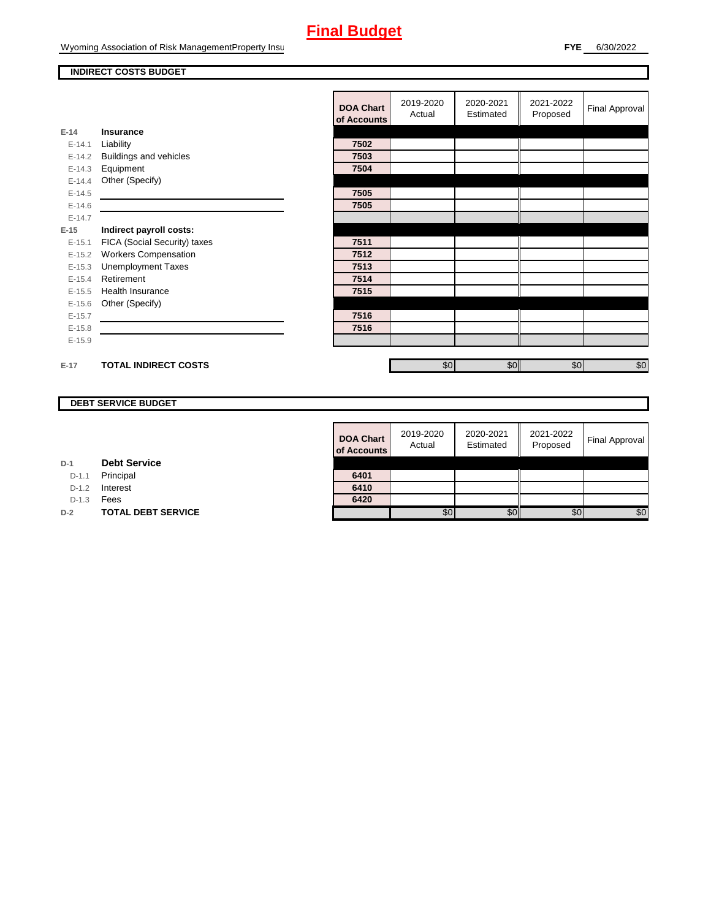#### **INDIRECT COSTS BUDGET**

|          |                              | <b>DOA Chart</b><br>of Accounts | 2019-2020<br>Actual | 2020-2021<br>Estimated | 2021-2022<br>Proposed | Final Approval |
|----------|------------------------------|---------------------------------|---------------------|------------------------|-----------------------|----------------|
| $E-14$   | Insurance                    |                                 |                     |                        |                       |                |
| $E-14.1$ | Liability                    | 7502                            |                     |                        |                       |                |
| $E-14.2$ | Buildings and vehicles       | 7503                            |                     |                        |                       |                |
| $E-14.3$ | Equipment                    | 7504                            |                     |                        |                       |                |
| $E-14.4$ | Other (Specify)              |                                 |                     |                        |                       |                |
| $E-14.5$ |                              | 7505                            |                     |                        |                       |                |
| $E-14.6$ |                              | 7505                            |                     |                        |                       |                |
| $E-14.7$ |                              |                                 |                     |                        |                       |                |
| $E-15$   | Indirect payroll costs:      |                                 |                     |                        |                       |                |
| $E-15.1$ | FICA (Social Security) taxes | 7511                            |                     |                        |                       |                |
| $E-15.2$ | <b>Workers Compensation</b>  | 7512                            |                     |                        |                       |                |
| $E-15.3$ | <b>Unemployment Taxes</b>    | 7513                            |                     |                        |                       |                |
| $E-15.4$ | Retirement                   | 7514                            |                     |                        |                       |                |
| $E-15.5$ | <b>Health Insurance</b>      | 7515                            |                     |                        |                       |                |
| $E-15.6$ | Other (Specify)              |                                 |                     |                        |                       |                |
| $E-15.7$ |                              | 7516                            |                     |                        |                       |                |
| $E-15.8$ |                              | 7516                            |                     |                        |                       |                |
| $E-15.9$ |                              |                                 |                     |                        |                       |                |
|          |                              |                                 |                     |                        |                       |                |
| $E-17$   | <b>TOTAL INDIRECT COSTS</b>  |                                 | \$0                 | \$0                    | \$0                   | \$0            |

#### **DEBT SERVICE BUDGET**

| <b>DOA Chart</b><br>of Accounts | 2019-2020<br>Actual | 2020-2021<br>Estimated | 2021-2022<br>Proposed | <b>Final Approval</b> |
|---------------------------------|---------------------|------------------------|-----------------------|-----------------------|
| 6401                            |                     |                        |                       |                       |
| 6410                            |                     |                        |                       |                       |
| 6420                            |                     |                        |                       |                       |
|                                 | \$0                 |                        | SC.                   | \$0                   |

**D-1 Debt Service**

D-1.1 Principal

D-1.2 **Interest** 

D-1.3 **Fees** 

**D-2 TOTAL DEBT SERVICE**